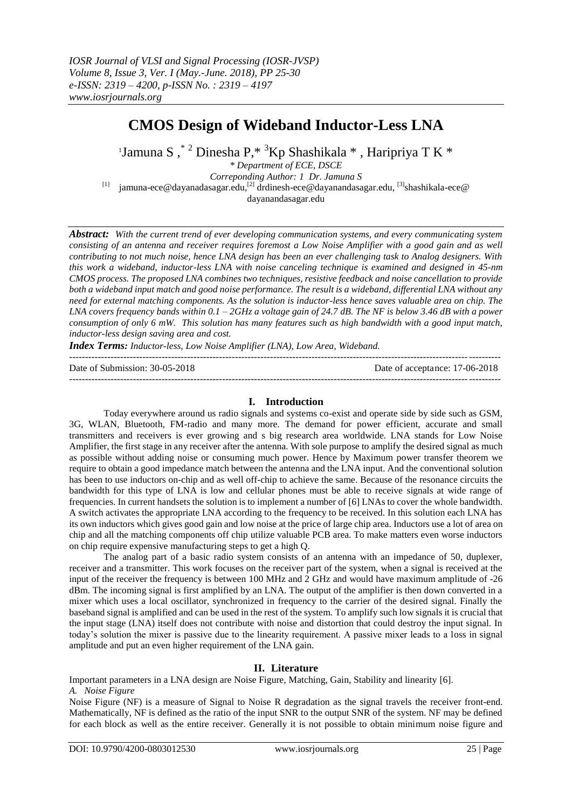# **CMOS Design of Wideband Inductor-Less LNA**

'Jamuna S , $^*$   $^2$  Dinesha P, $^*$   $^3$ Kp Shashikala  $^*$  , Haripriya T K  $^*$ 

*\* Department of ECE, DSCE*

*Correponding Author: 1 Dr. Jamuna S*

<sup>[1]</sup> jamuna-ece@dayanadasagar.edu,<sup>[2]</sup> drdinesh-ece@dayanandasagar.edu, <sup>[3]</sup>shashikala-ece@ dayanandasagar.edu

*Abstract: With the current trend of ever developing communication systems, and every communicating system consisting of an antenna and receiver requires foremost a Low Noise Amplifier with a good gain and as well contributing to not much noise, hence LNA design has been an ever challenging task to Analog designers. With this work a wideband, inductor-less LNA with noise canceling technique is examined and designed in 45-nm CMOS process. The proposed LNA combines two techniques, resistive feedback and noise cancellation to provide both a wideband input match and good noise performance. The result is a wideband, differential LNA without any need for external matching components. As the solution is inductor-less hence saves valuable area on chip. The LNA covers frequency bands within 0.1 – 2GHz a voltage gain of 24.7 dB. The NF is below 3.46 dB with a power consumption of only 6 mW. This solution has many features such as high bandwidth with a good input match, inductor-less design saving area and cost.*

*Index Terms: Inductor-less, Low Noise Amplifier (LNA), Low Area, Wideband.*

--------------------------------------------------------------------------------------------------------------------------------------- Date of Submission: 30-05-2018 Date of acceptance: 17-06-2018

#### **I. Introduction**

Today everywhere around us radio signals and systems co-exist and operate side by side such as GSM, 3G, WLAN, Bluetooth, FM-radio and many more. The demand for power efficient, accurate and small transmitters and receivers is ever growing and s big research area worldwide. LNA stands for Low Noise Amplifier, the first stage in any receiver after the antenna. With sole purpose to amplify the desired signal as much as possible without adding noise or consuming much power. Hence by Maximum power transfer theorem we require to obtain a good impedance match between the antenna and the LNA input. And the conventional solution has been to use inductors on-chip and as well off-chip to achieve the same. Because of the resonance circuits the bandwidth for this type of LNA is low and cellular phones must be able to receive signals at wide range of frequencies. In current handsets the solution is to implement a number of [6] LNAs to cover the whole bandwidth. A switch activates the appropriate LNA according to the frequency to be received. In this solution each LNA has its own inductors which gives good gain and low noise at the price of large chip area. Inductors use a lot of area on chip and all the matching components off chip utilize valuable PCB area. To make matters even worse inductors on chip require expensive manufacturing steps to get a high Q.

The analog part of a basic radio system consists of an antenna with an impedance of 50, duplexer, receiver and a transmitter. This work focuses on the receiver part of the system, when a signal is received at the input of the receiver the frequency is between 100 MHz and 2 GHz and would have maximum amplitude of -26 dBm. The incoming signal is first amplified by an LNA. The output of the amplifier is then down converted in a mixer which uses a local oscillator, synchronized in frequency to the carrier of the desired signal. Finally the baseband signal is amplified and can be used in the rest of the system. To amplify such low signals it is crucial that the input stage (LNA) itself does not contribute with noise and distortion that could destroy the input signal. In today's solution the mixer is passive due to the linearity requirement. A passive mixer leads to a loss in signal amplitude and put an even higher requirement of the LNA gain.

# **II. Literature**

Important parameters in a LNA design are Noise Figure, Matching, Gain, Stability and linearity [6]. *A. Noise Figure*

Noise Figure (NF) is a measure of Signal to Noise R degradation as the signal travels the receiver front-end. Mathematically, NF is defined as the ratio of the input SNR to the output SNR of the system. NF may be defined for each block as well as the entire receiver. Generally it is not possible to obtain minimum noise figure and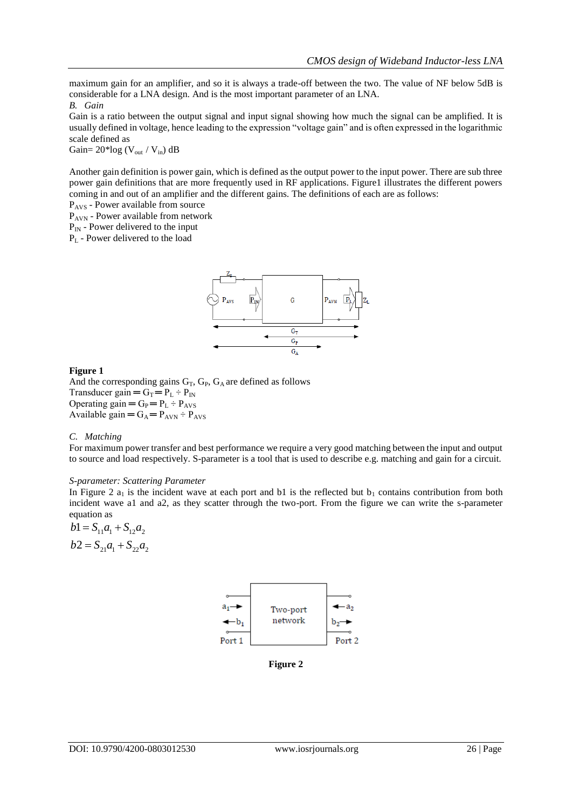maximum gain for an amplifier, and so it is always a trade-off between the two. The value of NF below 5dB is considerable for a LNA design. And is the most important parameter of an LNA.

#### *B. Gain*

Gain is a ratio between the output signal and input signal showing how much the signal can be amplified. It is usually defined in voltage, hence leading to the expression "voltage gain" and is often expressed in the logarithmic scale defined as

Gain=  $20*log$  (V<sub>out</sub> / V<sub>in</sub>) dB

Another gain definition is power gain, which is defined as the output power to the input power. There are sub three power gain definitions that are more frequently used in RF applications. Figure1 illustrates the different powers coming in and out of an amplifier and the different gains. The definitions of each are as follows:

PAVS - Power available from source

PAVN - Power available from network

 $P_{IN}$  - Power delivered to the input

P<sup>L</sup> - Power delivered to the load



## **Figure 1**

And the corresponding gains  $G_T$ ,  $G_P$ ,  $G_A$  are defined as follows Transducer gain =  $G_T$  =  $P_L$  ÷  $P_{IN}$ Operating gain  $=G_P = P_L \div P_{AVS}$ Available gain  $=G_A = P_{AVN} \div P_{AVS}$ 

### *C. Matching*

For maximum power transfer and best performance we require a very good matching between the input and output to source and load respectively. S-parameter is a tool that is used to describe e.g. matching and gain for a circuit.

## *S-parameter: Scattering Parameter*

In Figure 2  $a_1$  is the incident wave at each port and b1 is the reflected but  $b_1$  contains contribution from both incident wave a1 and a2, as they scatter through the two-port. From the figure we can write the s-parameter equation as

 $b1 = S_{11}a_1 + S_{12}a_2$  $b2 = S_{21}a_1 + S_{22}a_2$ 



**Figure 2**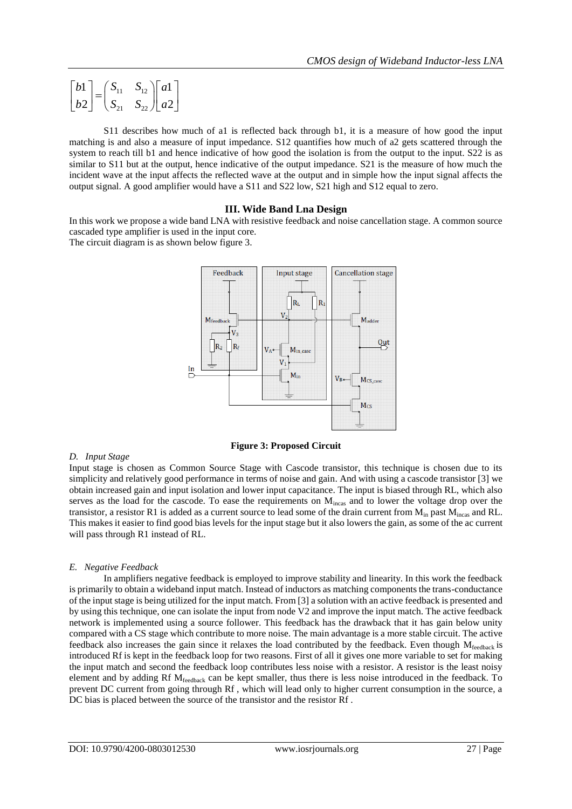$$
\begin{bmatrix} b1 \\ b2 \end{bmatrix} = \begin{bmatrix} S_{11} & S_{12} \\ S_{21} & S_{22} \end{bmatrix} \begin{bmatrix} a1 \\ a2 \end{bmatrix}
$$

S11 describes how much of a1 is reflected back through b1, it is a measure of how good the input matching is and also a measure of input impedance. S12 quantifies how much of a2 gets scattered through the system to reach till b1 and hence indicative of how good the isolation is from the output to the input. S22 is as similar to S11 but at the output, hence indicative of the output impedance. S21 is the measure of how much the incident wave at the input affects the reflected wave at the output and in simple how the input signal affects the output signal. A good amplifier would have a S11 and S22 low, S21 high and S12 equal to zero.

## **III. Wide Band Lna Design**

In this work we propose a wide band LNA with resistive feedback and noise cancellation stage. A common source cascaded type amplifier is used in the input core.

The circuit diagram is as shown below figure 3.



**Figure 3: Proposed Circuit**

### *D. Input Stage*

Input stage is chosen as Common Source Stage with Cascode transistor, this technique is chosen due to its simplicity and relatively good performance in terms of noise and gain. And with using a cascode transistor [3] we obtain increased gain and input isolation and lower input capacitance. The input is biased through RL, which also serves as the load for the cascode. To ease the requirements on  $M<sub>incas</sub>$  and to lower the voltage drop over the transistor, a resistor R1 is added as a current source to lead some of the drain current from  $M_{in}$  past  $M_{in}$  and RL. This makes it easier to find good bias levels for the input stage but it also lowers the gain, as some of the ac current will pass through R1 instead of RL.

### *E. Negative Feedback*

In amplifiers negative feedback is employed to improve stability and linearity. In this work the feedback is primarily to obtain a wideband input match. Instead of inductors as matching components the trans-conductance of the input stage is being utilized for the input match. From [3] a solution with an active feedback is presented and by using this technique, one can isolate the input from node V2 and improve the input match. The active feedback network is implemented using a source follower. This feedback has the drawback that it has gain below unity compared with a CS stage which contribute to more noise. The main advantage is a more stable circuit. The active feedback also increases the gain since it relaxes the load contributed by the feedback. Even though  $M_{\text{feedback}}$  is introduced Rf is kept in the feedback loop for two reasons. First of all it gives one more variable to set for making the input match and second the feedback loop contributes less noise with a resistor. A resistor is the least noisy element and by adding Rf Mfeedback can be kept smaller, thus there is less noise introduced in the feedback. To prevent DC current from going through Rf , which will lead only to higher current consumption in the source, a DC bias is placed between the source of the transistor and the resistor Rf .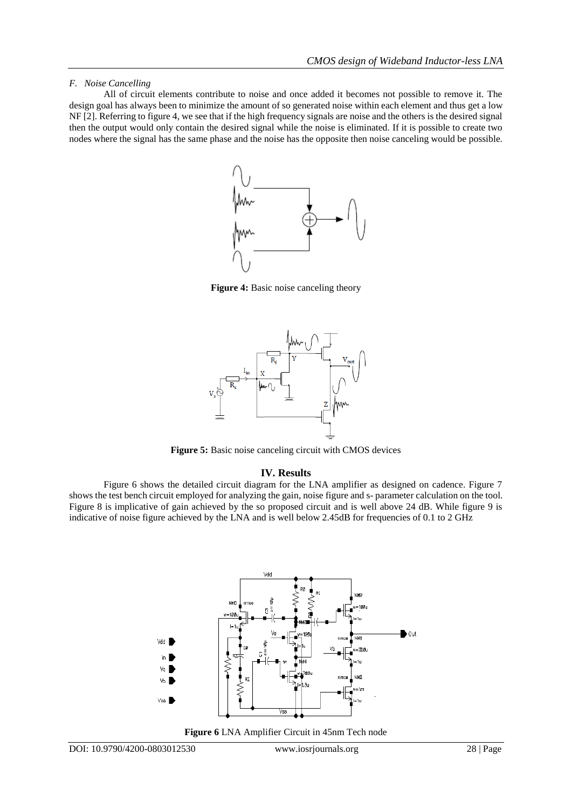## *F. Noise Cancelling*

All of circuit elements contribute to noise and once added it becomes not possible to remove it. The design goal has always been to minimize the amount of so generated noise within each element and thus get a low NF [2]. Referring to figure 4, we see that if the high frequency signals are noise and the others is the desired signal then the output would only contain the desired signal while the noise is eliminated. If it is possible to create two nodes where the signal has the same phase and the noise has the opposite then noise canceling would be possible.



**Figure 4:** Basic noise canceling theory



**Figure 5:** Basic noise canceling circuit with CMOS devices

# **IV. Results**

Figure 6 shows the detailed circuit diagram for the LNA amplifier as designed on cadence. Figure 7 shows the test bench circuit employed for analyzing the gain, noise figure and s- parameter calculation on the tool. Figure 8 is implicative of gain achieved by the so proposed circuit and is well above 24 dB. While figure 9 is indicative of noise figure achieved by the LNA and is well below 2.45dB for frequencies of 0.1 to 2 GHz



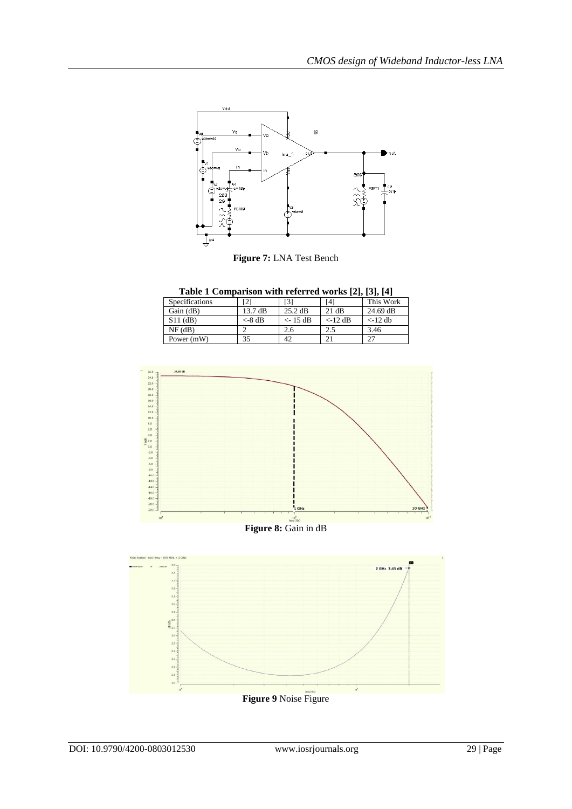

**Figure 7:** LNA Test Bench

**Table 1 Comparison with referred works [2], [3], [4]**

| Specifications |                   | [3]               | [4]                      | .<br>This Work           |
|----------------|-------------------|-------------------|--------------------------|--------------------------|
| Gain $(dB)$    | $13.7 \text{ dB}$ | $25.2 \text{ dB}$ | 21 dB                    | 24.69 dB                 |
| $S11$ (dB)     | $<-8$ dB          | $<-15$ dB         | $\langle -12 \text{ dB}$ | $\langle -12 \text{ db}$ |
| $NF$ (dB)      |                   | 2.6               | 2.5                      | 3.46                     |
| Power (mW)     | 35                | 42                | 2 <sub>1</sub>           | າາ                       |